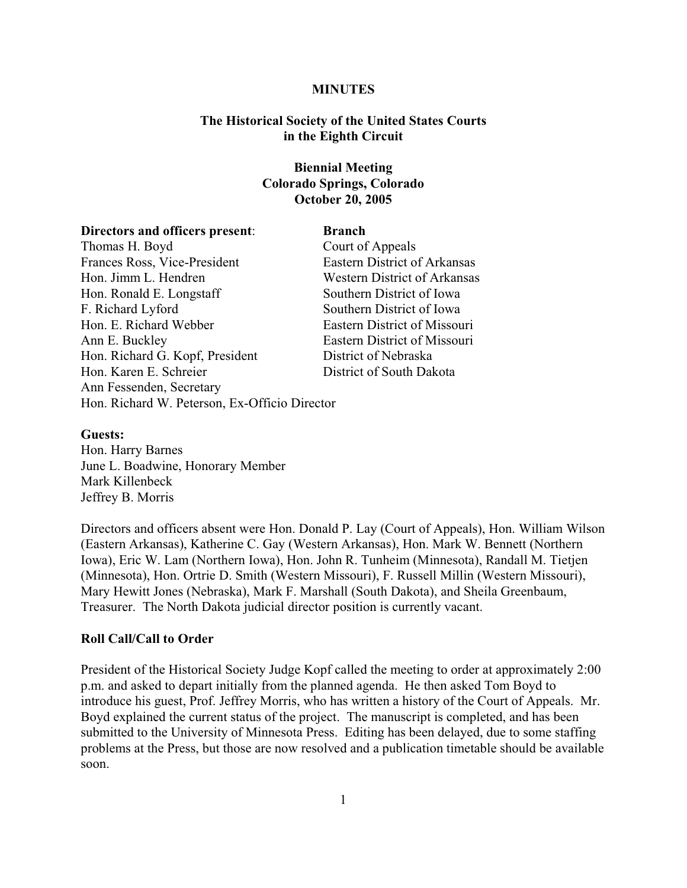#### **MINUTES**

### **The Historical Society of the United States Courts in the Eighth Circuit**

# **Biennial Meeting Colorado Springs, Colorado October 20, 2005**

#### **Directors and officers present:** Branch

Thomas H. Boyd Court of Appeals Frances Ross, Vice-President Eastern District of Arkansas Hon. Jimm L. Hendren Western District of Arkansas Hon. Ronald E. Longstaff Southern District of Iowa F. Richard Lyford Southern District of Iowa Hon. E. Richard Webber Eastern District of Missouri Ann E. Buckley Eastern District of Missouri Hon. Richard G. Kopf, President District of Nebraska Hon. Karen E. Schreier District of South Dakota Ann Fessenden, Secretary Hon. Richard W. Peterson, Ex-Officio Director

#### **Guests:**

Hon. Harry Barnes June L. Boadwine, Honorary Member Mark Killenbeck Jeffrey B. Morris

Directors and officers absent were Hon. Donald P. Lay (Court of Appeals), Hon. William Wilson (Eastern Arkansas), Katherine C. Gay (Western Arkansas), Hon. Mark W. Bennett (Northern Iowa), Eric W. Lam (Northern Iowa), Hon. John R. Tunheim (Minnesota), Randall M. Tietjen (Minnesota), Hon. Ortrie D. Smith (Western Missouri), F. Russell Millin (Western Missouri), Mary Hewitt Jones (Nebraska), Mark F. Marshall (South Dakota), and Sheila Greenbaum, Treasurer. The North Dakota judicial director position is currently vacant.

#### **Roll Call/Call to Order**

President of the Historical Society Judge Kopf called the meeting to order at approximately 2:00 p.m. and asked to depart initially from the planned agenda. He then asked Tom Boyd to introduce his guest, Prof. Jeffrey Morris, who has written a history of the Court of Appeals. Mr. Boyd explained the current status of the project. The manuscript is completed, and has been submitted to the University of Minnesota Press. Editing has been delayed, due to some staffing problems at the Press, but those are now resolved and a publication timetable should be available soon.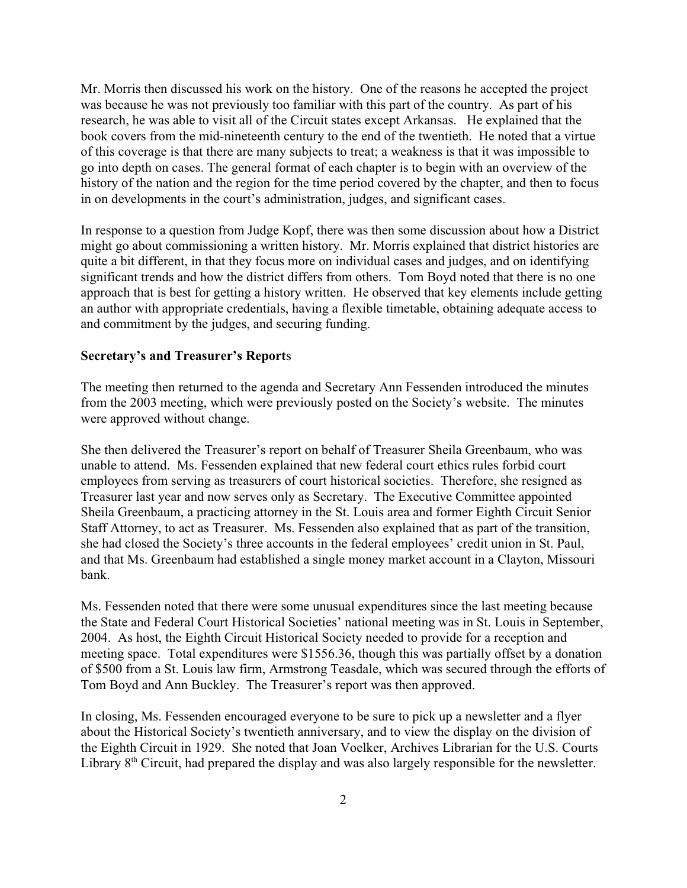Mr. Morris then discussed his work on the history. One of the reasons he accepted the project was because he was not previously too familiar with this part of the country. As part of his research, he was able to visit all of the Circuit states except Arkansas. He explained that the book covers from the mid-nineteenth century to the end of the twentieth. He noted that a virtue of this coverage is that there are many subjects to treat; a weakness is that it was impossible to go into depth on cases. The general format of each chapter is to begin with an overview of the history of the nation and the region for the time period covered by the chapter, and then to focus in on developments in the court's administration, judges, and significant cases.

In response to a question from Judge Kopf, there was then some discussion about how a District might go about commissioning a written history. Mr. Morris explained that district histories are quite a bit different, in that they focus more on individual cases and judges, and on identifying significant trends and how the district differs from others. Tom Boyd noted that there is no one approach that is best for getting a history written. He observed that key elements include getting an author with appropriate credentials, having a flexible timetable, obtaining adequate access to and commitment by the judges, and securing funding.

#### **Secretary's and Treasurer's Report**s

The meeting then returned to the agenda and Secretary Ann Fessenden introduced the minutes from the 2003 meeting, which were previously posted on the Society's website. The minutes were approved without change.

She then delivered the Treasurer's report on behalf of Treasurer Sheila Greenbaum, who was unable to attend. Ms. Fessenden explained that new federal court ethics rules forbid court employees from serving as treasurers of court historical societies. Therefore, she resigned as Treasurer last year and now serves only as Secretary. The Executive Committee appointed Sheila Greenbaum, a practicing attorney in the St. Louis area and former Eighth Circuit Senior Staff Attorney, to act as Treasurer. Ms. Fessenden also explained that as part of the transition, she had closed the Society's three accounts in the federal employees' credit union in St. Paul, and that Ms. Greenbaum had established a single money market account in a Clayton, Missouri bank.

Ms. Fessenden noted that there were some unusual expenditures since the last meeting because the State and Federal Court Historical Societies' national meeting was in St. Louis in September, 2004. As host, the Eighth Circuit Historical Society needed to provide for a reception and meeting space. Total expenditures were \$1556.36, though this was partially offset by a donation of \$500 from a St. Louis law firm, Armstrong Teasdale, which was secured through the efforts of Tom Boyd and Ann Buckley. The Treasurer's report was then approved.

In closing, Ms. Fessenden encouraged everyone to be sure to pick up a newsletter and a flyer about the Historical Society's twentieth anniversary, and to view the display on the division of the Eighth Circuit in 1929. She noted that Joan Voelker, Archives Librarian for the U.S. Courts Library  $8<sup>th</sup>$  Circuit, had prepared the display and was also largely responsible for the newsletter.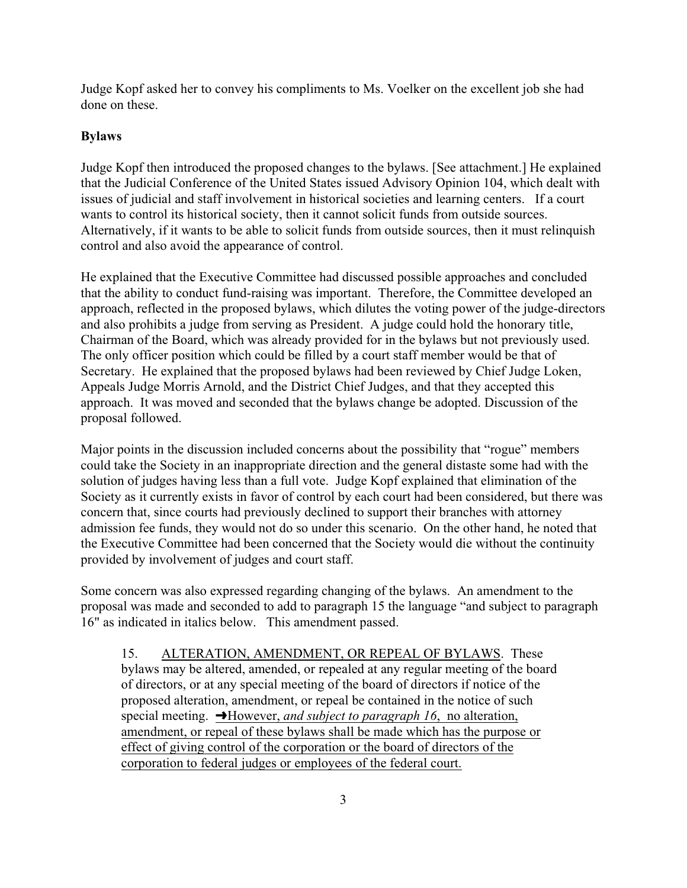Judge Kopf asked her to convey his compliments to Ms. Voelker on the excellent job she had done on these.

# **Bylaws**

Judge Kopf then introduced the proposed changes to the bylaws. [See attachment.] He explained that the Judicial Conference of the United States issued Advisory Opinion 104, which dealt with issues of judicial and staff involvement in historical societies and learning centers. If a court wants to control its historical society, then it cannot solicit funds from outside sources. Alternatively, if it wants to be able to solicit funds from outside sources, then it must relinquish control and also avoid the appearance of control.

He explained that the Executive Committee had discussed possible approaches and concluded that the ability to conduct fund-raising was important. Therefore, the Committee developed an approach, reflected in the proposed bylaws, which dilutes the voting power of the judge-directors and also prohibits a judge from serving as President. A judge could hold the honorary title, Chairman of the Board, which was already provided for in the bylaws but not previously used. The only officer position which could be filled by a court staff member would be that of Secretary. He explained that the proposed bylaws had been reviewed by Chief Judge Loken, Appeals Judge Morris Arnold, and the District Chief Judges, and that they accepted this approach. It was moved and seconded that the bylaws change be adopted. Discussion of the proposal followed.

Major points in the discussion included concerns about the possibility that "rogue" members could take the Society in an inappropriate direction and the general distaste some had with the solution of judges having less than a full vote. Judge Kopf explained that elimination of the Society as it currently exists in favor of control by each court had been considered, but there was concern that, since courts had previously declined to support their branches with attorney admission fee funds, they would not do so under this scenario. On the other hand, he noted that the Executive Committee had been concerned that the Society would die without the continuity provided by involvement of judges and court staff.

Some concern was also expressed regarding changing of the bylaws. An amendment to the proposal was made and seconded to add to paragraph 15 the language "and subject to paragraph 16" as indicated in italics below. This amendment passed.

15. ALTERATION, AMENDMENT, OR REPEAL OF BYLAWS. These bylaws may be altered, amended, or repealed at any regular meeting of the board of directors, or at any special meeting of the board of directors if notice of the proposed alteration, amendment, or repeal be contained in the notice of such special meeting.  $\rightarrow$  However, *and subject to paragraph 16*, no alteration, amendment, or repeal of these bylaws shall be made which has the purpose or effect of giving control of the corporation or the board of directors of the corporation to federal judges or employees of the federal court.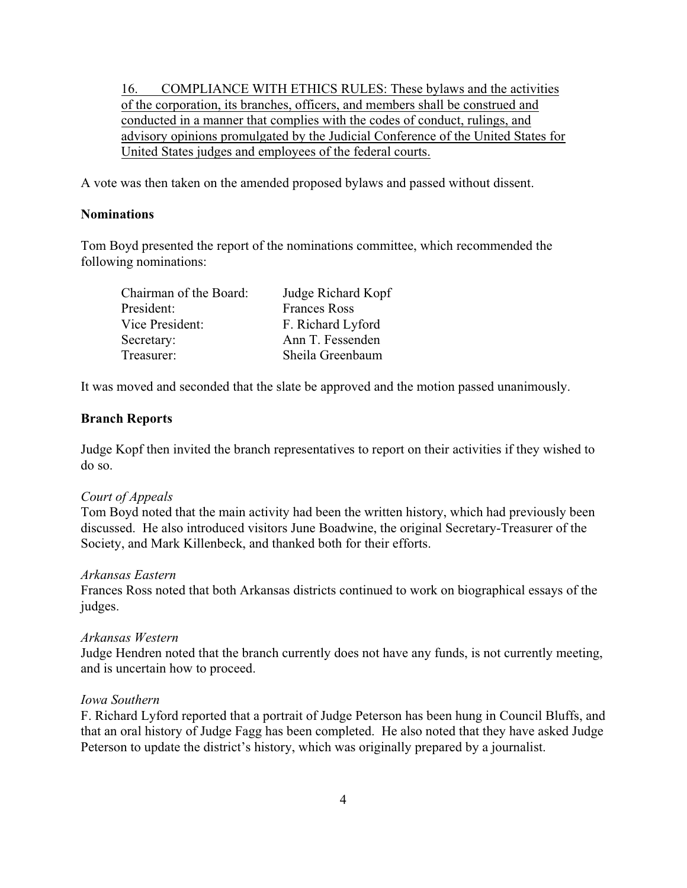16. COMPLIANCE WITH ETHICS RULES: These bylaws and the activities of the corporation, its branches, officers, and members shall be construed and conducted in a manner that complies with the codes of conduct, rulings, and advisory opinions promulgated by the Judicial Conference of the United States for United States judges and employees of the federal courts.

A vote was then taken on the amended proposed bylaws and passed without dissent.

## **Nominations**

Tom Boyd presented the report of the nominations committee, which recommended the following nominations:

| Chairman of the Board: | Judge Richard Kopf  |
|------------------------|---------------------|
| President:             | <b>Frances Ross</b> |
| Vice President:        | F. Richard Lyford   |
| Secretary:             | Ann T. Fessenden    |
| Treasurer:             | Sheila Greenbaum    |

It was moved and seconded that the slate be approved and the motion passed unanimously.

# **Branch Reports**

Judge Kopf then invited the branch representatives to report on their activities if they wished to do so.

### *Court of Appeals*

Tom Boyd noted that the main activity had been the written history, which had previously been discussed. He also introduced visitors June Boadwine, the original Secretary-Treasurer of the Society, and Mark Killenbeck, and thanked both for their efforts.

### *Arkansas Eastern*

Frances Ross noted that both Arkansas districts continued to work on biographical essays of the judges.

### *Arkansas Western*

Judge Hendren noted that the branch currently does not have any funds, is not currently meeting, and is uncertain how to proceed.

### *Iowa Southern*

F. Richard Lyford reported that a portrait of Judge Peterson has been hung in Council Bluffs, and that an oral history of Judge Fagg has been completed. He also noted that they have asked Judge Peterson to update the district's history, which was originally prepared by a journalist.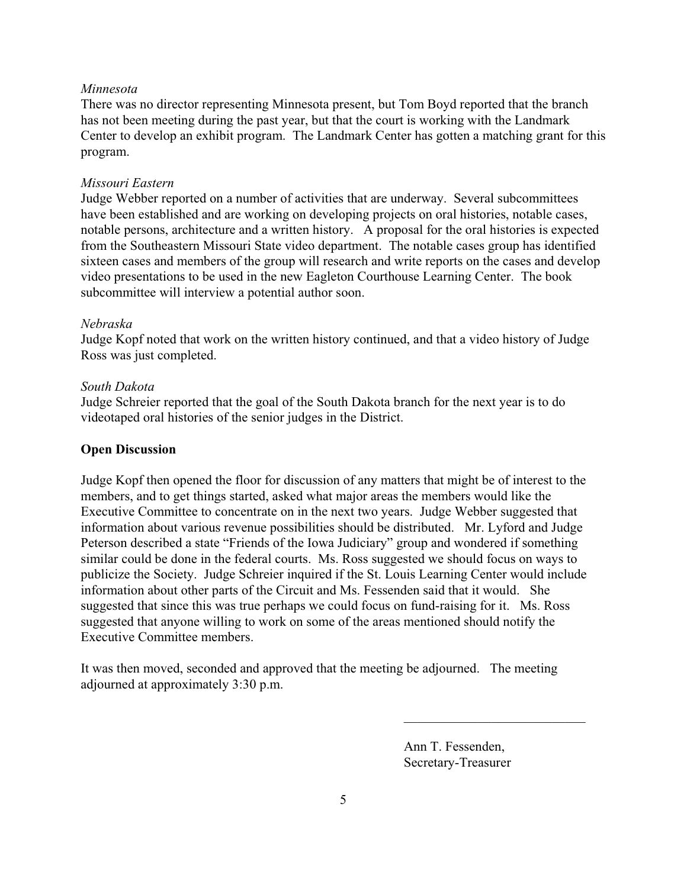# *Minnesota*

There was no director representing Minnesota present, but Tom Boyd reported that the branch has not been meeting during the past year, but that the court is working with the Landmark Center to develop an exhibit program. The Landmark Center has gotten a matching grant for this program.

# *Missouri Eastern*

Judge Webber reported on a number of activities that are underway. Several subcommittees have been established and are working on developing projects on oral histories, notable cases, notable persons, architecture and a written history. A proposal for the oral histories is expected from the Southeastern Missouri State video department. The notable cases group has identified sixteen cases and members of the group will research and write reports on the cases and develop video presentations to be used in the new Eagleton Courthouse Learning Center. The book subcommittee will interview a potential author soon.

### *Nebraska*

Judge Kopf noted that work on the written history continued, and that a video history of Judge Ross was just completed.

# *South Dakota*

Judge Schreier reported that the goal of the South Dakota branch for the next year is to do videotaped oral histories of the senior judges in the District.

# **Open Discussion**

Judge Kopf then opened the floor for discussion of any matters that might be of interest to the members, and to get things started, asked what major areas the members would like the Executive Committee to concentrate on in the next two years. Judge Webber suggested that information about various revenue possibilities should be distributed. Mr. Lyford and Judge Peterson described a state "Friends of the Iowa Judiciary" group and wondered if something similar could be done in the federal courts. Ms. Ross suggested we should focus on ways to publicize the Society. Judge Schreier inquired if the St. Louis Learning Center would include information about other parts of the Circuit and Ms. Fessenden said that it would. She suggested that since this was true perhaps we could focus on fund-raising for it. Ms. Ross suggested that anyone willing to work on some of the areas mentioned should notify the Executive Committee members.

It was then moved, seconded and approved that the meeting be adjourned. The meeting adjourned at approximately 3:30 p.m.

> Ann T. Fessenden, Secretary-Treasurer

\_\_\_\_\_\_\_\_\_\_\_\_\_\_\_\_\_\_\_\_\_\_\_\_\_\_\_